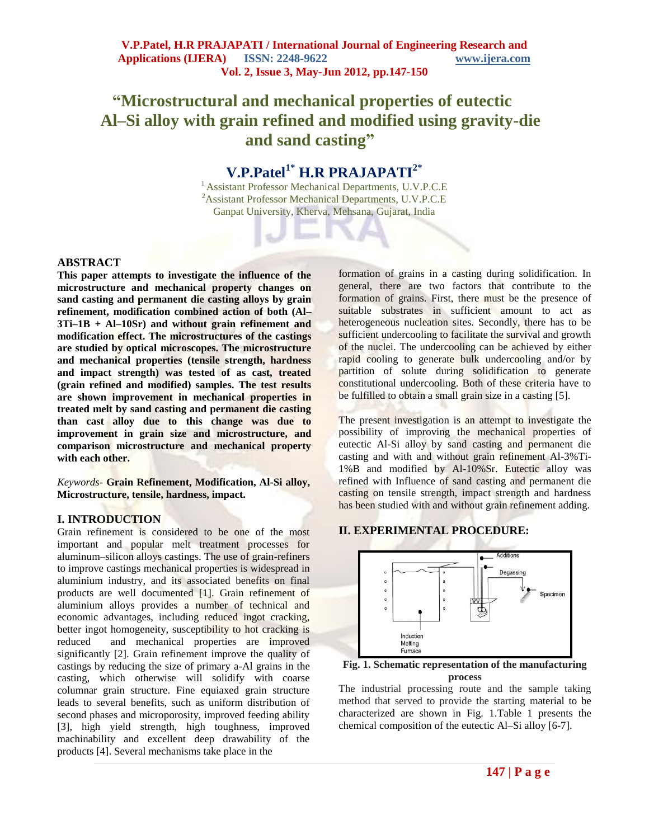# **"Microstructural and mechanical properties of eutectic Al–Si alloy with grain refined and modified using gravity-die and sand casting"**

# **V.P.Patel1\* H.R PRAJAPATI2\***

<sup>1</sup> Assistant Professor Mechanical Departments, U.V.P.C.E <sup>2</sup>Assistant Professor Mechanical Departments, U.V.P.C.E Ganpat University, Kherva, Mehsana, Gujarat, India

# **ABSTRACT**

**This paper attempts to investigate the influence of the microstructure and mechanical property changes on sand casting and permanent die casting alloys by grain refinement, modification combined action of both (Al– 3Ti–1B + Al–10Sr) and without grain refinement and modification effect. The microstructures of the castings are studied by optical microscopes. The microstructure and mechanical properties (tensile strength, hardness and impact strength) was tested of as cast, treated (grain refined and modified) samples. The test results are shown improvement in mechanical properties in treated melt by sand casting and permanent die casting than cast alloy due to this change was due to improvement in grain size and microstructure, and comparison microstructure and mechanical property with each other.**

*Keywords-* **Grain Refinement, Modification, Al-Si alloy, Microstructure, tensile, hardness, impact.**

# **I. INTRODUCTION**

Grain refinement is considered to be one of the most important and popular melt treatment processes for aluminum–silicon alloys castings. The use of grain-refiners to improve castings mechanical properties is widespread in aluminium industry, and its associated benefits on final products are well documented [1]. Grain refinement of aluminium alloys provides a number of technical and economic advantages, including reduced ingot cracking, better ingot homogeneity, susceptibility to hot cracking is reduced and mechanical properties are improved significantly [2]. Grain refinement improve the quality of castings by reducing the size of primary a-Al grains in the casting, which otherwise will solidify with coarse columnar grain structure. Fine equiaxed grain structure leads to several benefits, such as uniform distribution of second phases and microporosity, improved feeding ability [3], high yield strength, high toughness, improved machinability and excellent deep drawability of the products [4]. Several mechanisms take place in the

formation of grains in a casting during solidification. In general, there are two factors that contribute to the formation of grains. First, there must be the presence of suitable substrates in sufficient amount to act as heterogeneous nucleation sites. Secondly, there has to be sufficient undercooling to facilitate the survival and growth of the nuclei. The undercooling can be achieved by either rapid cooling to generate bulk undercooling and/or by partition of solute during solidification to generate constitutional undercooling. Both of these criteria have to be fulfilled to obtain a small grain size in a casting [5].

The present investigation is an attempt to investigate the possibility of improving the mechanical properties of eutectic Al-Si alloy by sand casting and permanent die casting and with and without grain refinement Al-3%Ti-1%B and modified by Al-10%Sr. Eutectic alloy was refined with Influence of sand casting and permanent die casting on tensile strength, impact strength and hardness has been studied with and without grain refinement adding.

# **II. EXPERIMENTAL PROCEDURE:**



**Fig. 1. Schematic representation of the manufacturing process**

The industrial processing route and the sample taking method that served to provide the starting material to be characterized are shown in Fig. 1.Table 1 presents the chemical composition of the eutectic Al–Si alloy [6-7].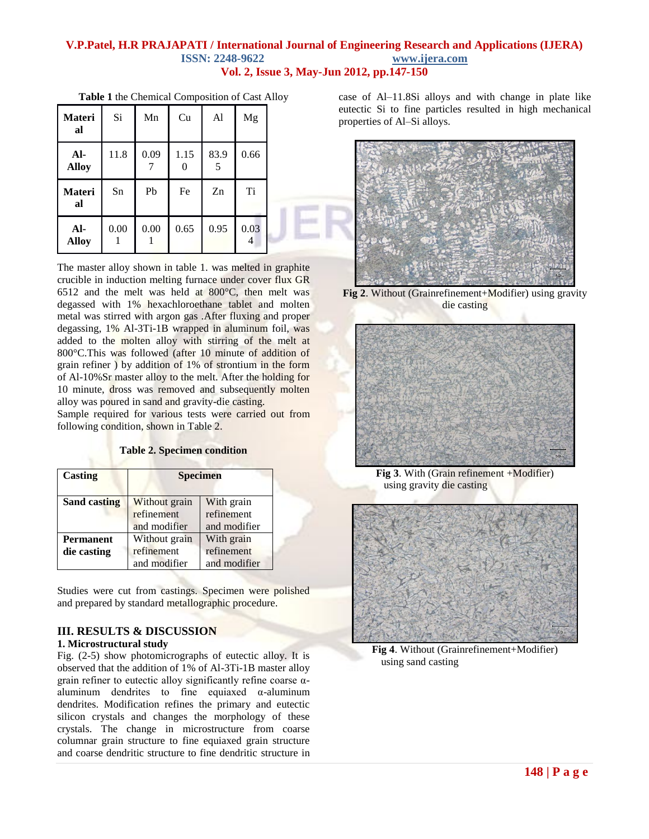#### **V.P.Patel, H.R PRAJAPATI / International Journal of Engineering Research and Applications (IJERA) ISSN: 2248-9622 www.ijera.com Vol. 2, Issue 3, May-Jun 2012, pp.147-150**

| <b>Materi</b><br>al   | Si   | Mn   | Cu   | Al        | Mg        |
|-----------------------|------|------|------|-----------|-----------|
| $AI-$<br><b>Alloy</b> | 11.8 | 0.09 | 1.15 | 83.9<br>5 | 0.66      |
|                       |      |      |      |           |           |
| <b>Materi</b><br>al   | Sn   | Pb   | Fe   | Zn        | <b>Ti</b> |

**Table 1** the Chemical Composition of Cast Alloy

The master alloy shown in table 1. was melted in graphite crucible in induction melting furnace under cover flux GR 6512 and the melt was held at 800°C, then melt was degassed with 1% hexachloroethane tablet and molten metal was stirred with argon gas .After fluxing and proper degassing, 1% Al-3Ti-1B wrapped in aluminum foil, was added to the molten alloy with stirring of the melt at 800°C.This was followed (after 10 minute of addition of grain refiner ) by addition of 1% of strontium in the form of Al-10%Sr master alloy to the melt. After the holding for 10 minute, dross was removed and subsequently molten alloy was poured in sand and gravity-die casting.

Sample required for various tests were carried out from following condition, shown in Table 2.

#### **Table 2. Specimen condition**

| Casting             | <b>Specimen</b> |              |  |
|---------------------|-----------------|--------------|--|
| <b>Sand casting</b> | Without grain   | With grain   |  |
|                     | refinement      | refinement   |  |
|                     | and modifier    | and modifier |  |
| <b>Permanent</b>    | Without grain   | With grain   |  |
| die casting         | refinement      | refinement   |  |
|                     | and modifier    | and modifier |  |

Studies were cut from castings. Specimen were polished and prepared by standard metallographic procedure.

### **III. RESULTS & DISCUSSION**

#### **1. Microstructural study**

Fig. (2-5) show photomicrographs of eutectic alloy. It is observed that the addition of 1% of Al-3Ti-1B master alloy grain refiner to eutectic alloy significantly refine coarse αaluminum dendrites to fine equiaxed  $\alpha$ -aluminum dendrites. Modification refines the primary and eutectic silicon crystals and changes the morphology of these crystals. The change in microstructure from coarse columnar grain structure to fine equiaxed grain structure and coarse dendritic structure to fine dendritic structure in case of Al–11.8Si alloys and with change in plate like eutectic Si to fine particles resulted in high mechanical properties of Al–Si alloys.



**Fig 2**. Without (Grainrefinement+Modifier) using gravity die casting



**Fig 3**. With (Grain refinement +Modifier) using gravity die casting



**Fig 4**. Without (Grainrefinement+Modifier) using sand casting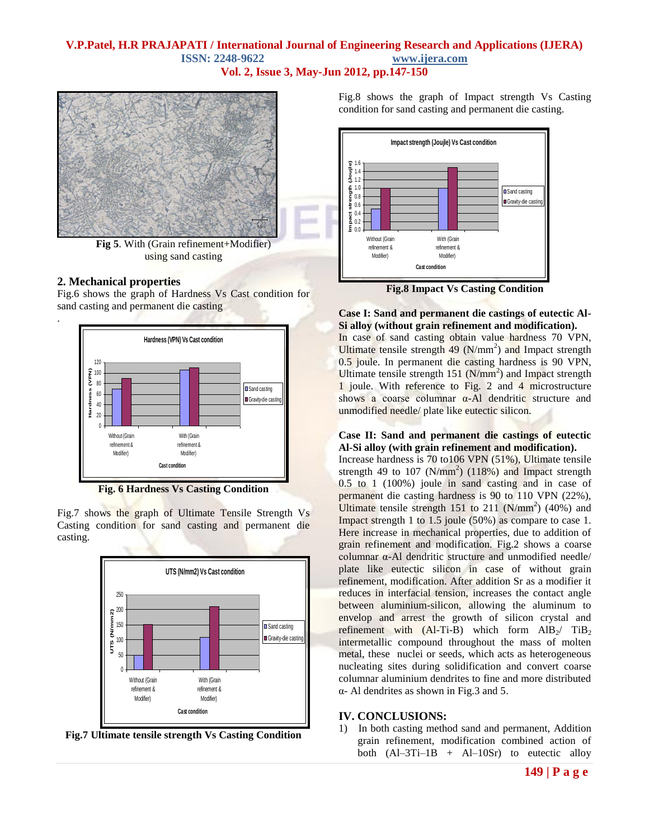# **V.P.Patel, H.R PRAJAPATI / International Journal of Engineering Research and Applications (IJERA) ISSN: 2248-9622 www.ijera.com**

**Vol. 2, Issue 3, May-Jun 2012, pp.147-150**



**Fig 5**. With (Grain refinement+Modifier) using sand casting

# **2. Mechanical properties**

.

Fig.6 shows the graph of Hardness Vs Cast condition for sand casting and permanent die casting



**Fig. 6 Hardness Vs Casting Condition**

Fig.7 shows the graph of Ultimate Tensile Strength Vs Casting condition for sand casting and permanent die casting.



**Fig.7 Ultimate tensile strength Vs Casting Condition**

Fig.8 shows the graph of Impact strength Vs Casting condition for sand casting and permanent die casting.



**Fig.8 Impact Vs Casting Condition**

#### **Case I: Sand and permanent die castings of eutectic Al-Si alloy (without grain refinement and modification).**

In case of sand casting obtain value hardness 70 VPN, Ultimate tensile strength  $\frac{49}{(N/mm^2)}$  and Impact strength 0.5 joule. In permanent die casting hardness is 90 VPN, Ultimate tensile strength  $151$  (N/mm<sup>2</sup>) and Impact strength 1 joule. With reference to Fig. 2 and 4 microstructure shows a coarse columnar  $\alpha$ -Al dendritic structure and unmodified needle/ plate like eutectic silicon.

#### **Case II: Sand and permanent die castings of eutectic Al-Si alloy (with grain refinement and modification).**

Increase hardness is 70 to106 VPN (51%), Ultimate tensile strength 49 to 107 ( $N/mm^2$ ) (118%) and Impact strength 0.5 to 1 (100%) joule in sand casting and in case of permanent die casting hardness is 90 to 110 VPN (22%), Ultimate tensile strength 151 to 211  $(N/mm<sup>2</sup>)$  (40%) and Impact strength 1 to 1.5 joule (50%) as compare to case 1. Here increase in mechanical properties, due to addition of grain refinement and modification. Fig.2 shows a coarse columnar α-Al dendritic structure and unmodified needle/ plate like eutectic silicon in case of without grain refinement, modification. After addition Sr as a modifier it reduces in interfacial tension, increases the contact angle between aluminium-silicon, allowing the aluminum to envelop and arrest the growth of silicon crystal and refinement with  $(Al-Ti-B)$  which form  $AlB_2$ /  $TiB_2$ intermetallic compound throughout the mass of molten metal, these nuclei or seeds, which acts as heterogeneous nucleating sites during solidification and convert coarse columnar aluminium dendrites to fine and more distributed α- Al dendrites as shown in Fig.3 and 5.

# **IV. CONCLUSIONS:**

1) In both casting method sand and permanent, Addition grain refinement, modification combined action of both  $(AI-3Ti-1B + Al-10Sr)$  to eutectic alloy